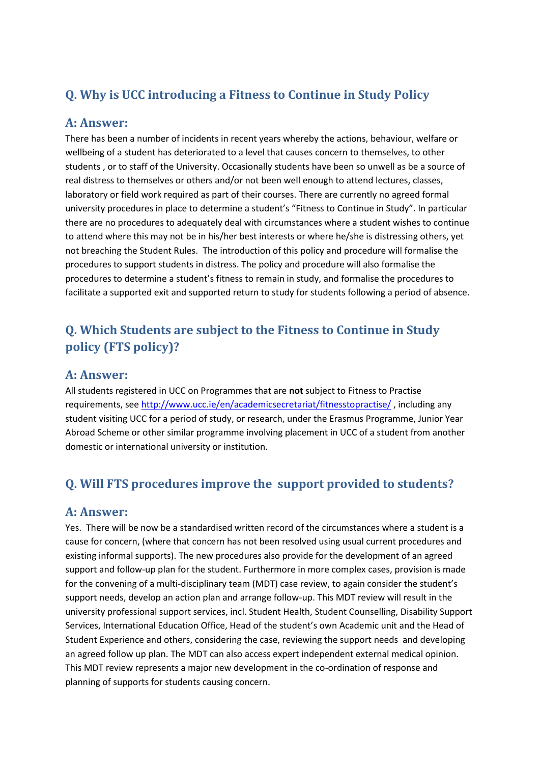## **Q. Why is UCC introducing a Fitness to Continue in Study Policy**

#### **A: Answer:**

There has been a number of incidents in recent years whereby the actions, behaviour, welfare or wellbeing of a student has deteriorated to a level that causes concern to themselves, to other students , or to staff of the University. Occasionally students have been so unwell as be a source of real distress to themselves or others and/or not been well enough to attend lectures, classes, laboratory or field work required as part of their courses. There are currently no agreed formal university procedures in place to determine a student's "Fitness to Continue in Study". In particular there are no procedures to adequately deal with circumstances where a student wishes to continue to attend where this may not be in his/her best interests or where he/she is distressing others, yet not breaching the Student Rules. The introduction of this policy and procedure will formalise the procedures to support students in distress. The policy and procedure will also formalise the procedures to determine a student's fitness to remain in study, and formalise the procedures to facilitate a supported exit and supported return to study for students following a period of absence.

# **Q. Which Students are subject to the Fitness to Continue in Study policy (FTS policy)?**

#### **A: Answer:**

All students registered in UCC on Programmes that are **not** subject to Fitness to Practise requirements, see <http://www.ucc.ie/en/academicsecretariat/fitnesstopractise/> , including any student visiting UCC for a period of study, or research, under the Erasmus Programme, Junior Year Abroad Scheme or other similar programme involving placement in UCC of a student from another domestic or international university or institution.

## **Q. Will FTS procedures improve the support provided to students?**

#### **A: Answer:**

Yes. There will be now be a standardised written record of the circumstances where a student is a cause for concern, (where that concern has not been resolved using usual current procedures and existing informal supports). The new procedures also provide for the development of an agreed support and follow-up plan for the student. Furthermore in more complex cases, provision is made for the convening of a multi-disciplinary team (MDT) case review, to again consider the student's support needs, develop an action plan and arrange follow-up. This MDT review will result in the university professional support services, incl. Student Health, Student Counselling, Disability Support Services, International Education Office, Head of the student's own Academic unit and the Head of Student Experience and others, considering the case, reviewing the support needs and developing an agreed follow up plan. The MDT can also access expert independent external medical opinion. This MDT review represents a major new development in the co-ordination of response and planning of supports for students causing concern.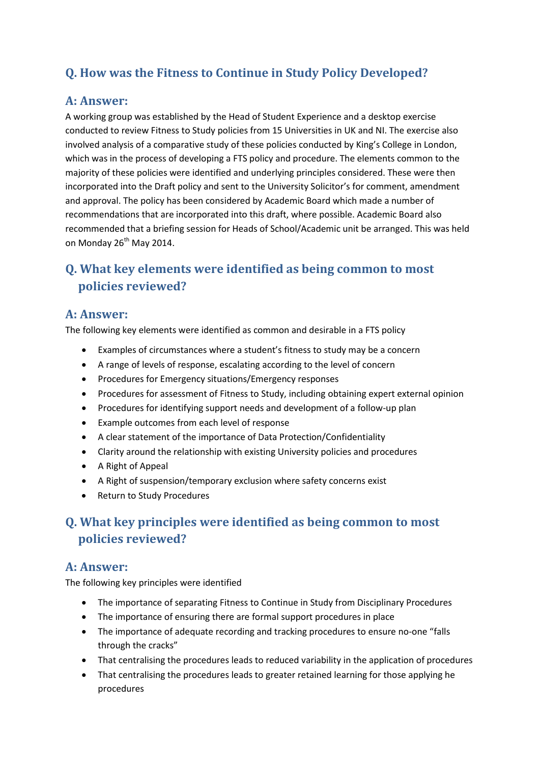# **Q. How was the Fitness to Continue in Study Policy Developed?**

#### **A: Answer:**

A working group was established by the Head of Student Experience and a desktop exercise conducted to review Fitness to Study policies from 15 Universities in UK and NI. The exercise also involved analysis of a comparative study of these policies conducted by King's College in London, which was in the process of developing a FTS policy and procedure. The elements common to the majority of these policies were identified and underlying principles considered. These were then incorporated into the Draft policy and sent to the University Solicitor's for comment, amendment and approval. The policy has been considered by Academic Board which made a number of recommendations that are incorporated into this draft, where possible. Academic Board also recommended that a briefing session for Heads of School/Academic unit be arranged. This was held on Monday 26<sup>th</sup> May 2014.

# **Q. What key elements were identified as being common to most policies reviewed?**

#### **A: Answer:**

The following key elements were identified as common and desirable in a FTS policy

- Examples of circumstances where a student's fitness to study may be a concern
- A range of levels of response, escalating according to the level of concern
- Procedures for Emergency situations/Emergency responses
- Procedures for assessment of Fitness to Study, including obtaining expert external opinion
- Procedures for identifying support needs and development of a follow-up plan
- Example outcomes from each level of response
- A clear statement of the importance of Data Protection/Confidentiality
- Clarity around the relationship with existing University policies and procedures
- A Right of Appeal
- A Right of suspension/temporary exclusion where safety concerns exist
- Return to Study Procedures

# **Q. What key principles were identified as being common to most policies reviewed?**

#### **A: Answer:**

The following key principles were identified

- The importance of separating Fitness to Continue in Study from Disciplinary Procedures
- The importance of ensuring there are formal support procedures in place
- The importance of adequate recording and tracking procedures to ensure no-one "falls through the cracks"
- That centralising the procedures leads to reduced variability in the application of procedures
- That centralising the procedures leads to greater retained learning for those applying he procedures